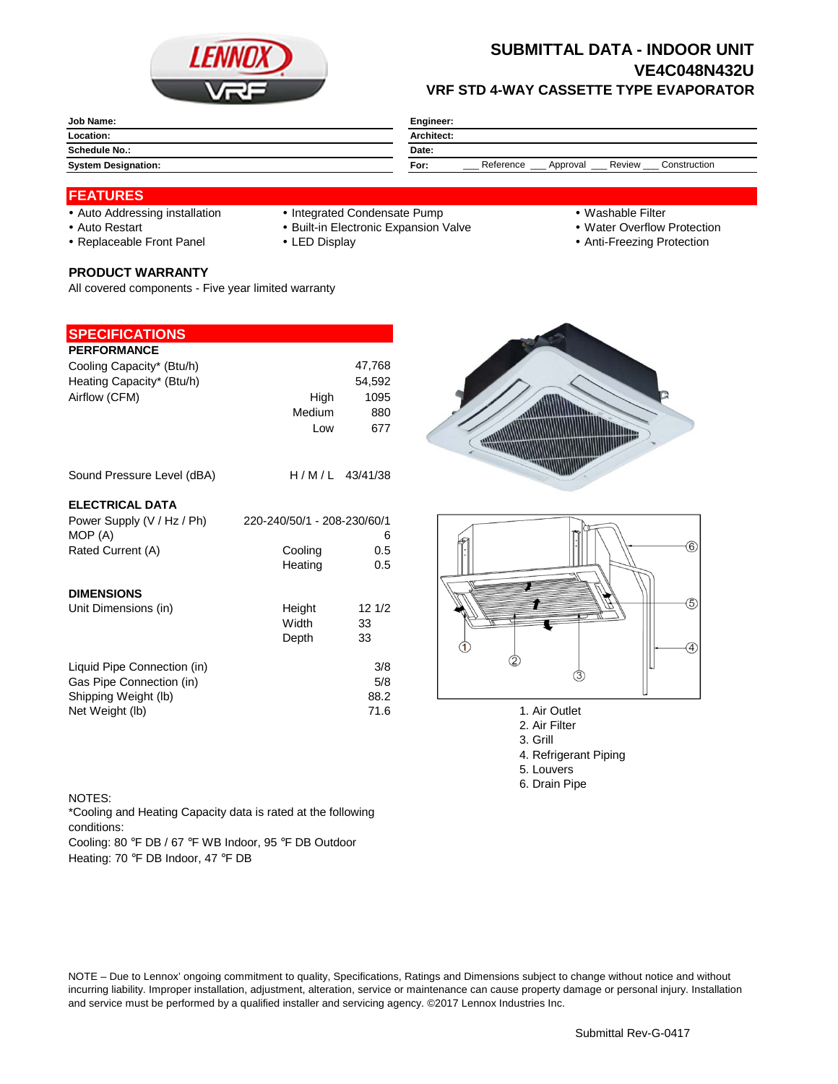

## **SUBMITTAL DATA - INDOOR UNIT VE4C048N432U VRF STD 4-WAY CASSETTE TYPE EVAPORATOR**

| <b>Job Name:</b>           | Engineer:                                               |  |  |
|----------------------------|---------------------------------------------------------|--|--|
| Location:                  | <b>Architect:</b>                                       |  |  |
| Schedule No.:              | Date:                                                   |  |  |
| <b>System Designation:</b> | Review<br>Reference<br>Construction<br>For:<br>Approval |  |  |

### **FEATURES**

- 
- Auto Addressing installation Integrated Condensate Pump Washable Filter
- Auto Restart **Built-in Electronic Expansion Valve Water Overflow Protection** Nuter Overflow Protection
- Replaceable Front Panel LED Display Anti-Freezing Protection

#### **PRODUCT WARRANTY**

All covered components - Five year limited warranty

#### **SPECIFICATIONS**

| <b>PERFORMANCE</b>          |                             |                  |
|-----------------------------|-----------------------------|------------------|
| Cooling Capacity* (Btu/h)   |                             | 47,768           |
| Heating Capacity* (Btu/h)   |                             | 54,592           |
| Airflow (CFM)               | High                        | 1095             |
|                             | Medium                      | 880              |
|                             | Low                         | 677              |
| Sound Pressure Level (dBA)  |                             | $H/M/L$ 43/41/38 |
| <b>ELECTRICAL DATA</b>      |                             |                  |
| Power Supply (V / Hz / Ph)  | 220-240/50/1 - 208-230/60/1 |                  |
| MOP (A)                     |                             | 6                |
| Rated Current (A)           | Cooling                     | 0.5              |
|                             | Heating                     | 0.5              |
| <b>DIMENSIONS</b>           |                             |                  |
| Unit Dimensions (in)        | Height                      | 121/2            |
|                             | Width                       | 33               |
|                             | Depth                       | 33               |
| Liquid Pipe Connection (in) |                             | 3/8              |
| Gas Pipe Connection (in)    |                             | 5/8              |
| Shipping Weight (lb)        |                             | 88.2             |
| Net Weight (lb)             |                             | 71.6             |
|                             |                             |                  |





- 1. Air Outlet
- 2. Air Filter
- 3. Grill
- 4. Refrigerant Piping
- 5. Louvers
- 6. Drain Pipe

#### NOTES:

\*Cooling and Heating Capacity data is rated at the following conditions:

Cooling: 80 °F DB / 67 °F WB Indoor, 95 °F DB Outdoor Heating: 70 °F DB Indoor, 47 °F DB

NOTE – Due to Lennox' ongoing commitment to quality, Specifications, Ratings and Dimensions subject to change without notice and without incurring liability. Improper installation, adjustment, alteration, service or maintenance can cause property damage or personal injury. Installation and service must be performed by a qualified installer and servicing agency. ©2017 Lennox Industries Inc.